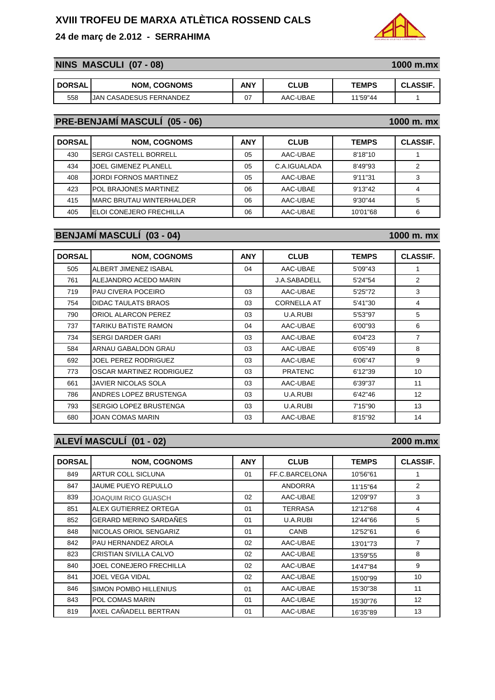### **24 de març de 2.012 - SERRAHIMA**

## **NINS MASCULI (07 - 08)** 1000 m.mx

| <b>DORSAL</b> | <b>NOM, COGNOMS</b>     | ANY | <b>CLUB</b> | <b>TEMPS</b> | <b>CLASSIF</b> |
|---------------|-------------------------|-----|-------------|--------------|----------------|
| 558           | JAN CASADESUS FERNANDEZ | 07  | AAC-UBAE    | 11'59"44     |                |

# **PRE-BENJAMÍ MASCULÍ (05 - 06)** 1000 m. mx

| <b>DORSAL</b> | <b>NOM, COGNOMS</b>          | ANY | <b>CLUB</b>  | <b>TEMPS</b> | <b>CLASSIF.</b> |
|---------------|------------------------------|-----|--------------|--------------|-----------------|
| 430           | ISERGI CASTELL BORRELL       | 05  | AAC-UBAE     | 8'18"10      |                 |
| 434           | JOEL GIMENEZ PLANELL         | 05  | C.A.IGUALADA | 8'49"93      | 2               |
| 408           | <b>JORDI FORNOS MARTINEZ</b> | 05  | AAC-UBAE     | 9'11"31      | 3               |
| 423           | POL BRAJONES MARTINEZ        | 06  | AAC-UBAE     | 9'13"42      | 4               |
| 415           | IMARC BRUTAU WINTERHALDER    | 06  | AAC-UBAE     | 9'30"44      | 5               |
| 405           | ELOI CONEJERO FRECHILLA      | 06  | AAC-UBAE     | 10'01"68     | 6               |

### **BENJAMÍ MASCULÍ (03 - 04)** 1000 m. mx

| <b>DORSAL</b> | <b>NOM, COGNOMS</b>        | <b>ANY</b> | <b>CLUB</b>         | <b>TEMPS</b> | <b>CLASSIF.</b> |
|---------------|----------------------------|------------|---------------------|--------------|-----------------|
| 505           | ALBERT JIMENEZ ISABAL      | 04         | AAC-UBAE            | 5'09"43      |                 |
| 761           | ALEJANDRO ACEDO MARIN      |            | <b>J.A.SABADELL</b> | 5'24"54      | 2               |
| 719           | PAU CIVERA POCEIRO         | 03         | AAC-UBAE            | 5'25"72      | 3               |
| 754           | DIDAC TAULATS BRAOS        | 03         | <b>CORNELLA AT</b>  | 5'41"30      | 4               |
| 790           | <b>ORIOL ALARCON PEREZ</b> | 03         | U.A.RUBI            | 5'53"97      | 5               |
| 737           | TARIKU BATISTE RAMON       | 04         | AAC-UBAE            | 6'00"93      | 6               |
| 734           | SERGI DARDER GARI          | 03         | AAC-UBAE            | 6'04"23      | $\overline{7}$  |
| 584           | ARNAU GABALDON GRAU        | 03         | AAC-UBAE            | 6'05"49      | 8               |
| 692           | JOEL PEREZ RODRIGUEZ       | 03         | AAC-UBAE            | 6'06"47      | 9               |
| 773           | OSCAR MARTINEZ RODRIGUEZ   | 03         | <b>PRATENC</b>      | 6'12"39      | 10              |
| 661           | JAVIER NICOLAS SOLA        | 03         | AAC-UBAE            | 6'39"37      | 11              |
| 786           | ANDRES LOPEZ BRUSTENGA     | 03         | U.A.RUBI            | 6'42"46      | 12              |
| 793           | SERGIO LOPEZ BRUSTENGA     | 03         | U.A.RUBI            | 7'15"90      | 13              |
| 680           | JOAN COMAS MARIN           | 03         | AAC-UBAE            | 8'15"92      | 14              |

# **ALEVÍ MASCULÍ (01 - 02) 2000 m.mx**

| <b>DORSAL</b> | <b>NOM, COGNOMS</b>        | <b>ANY</b> | <b>CLUB</b>    | <b>TEMPS</b> | <b>CLASSIF.</b> |
|---------------|----------------------------|------------|----------------|--------------|-----------------|
| 849           | ARTUR COLL SICLUNA         | 01         | FF.C.BARCELONA | 10'56"61     | 1               |
| 847           | JAUME PUEYO REPULLO        |            | <b>ANDORRA</b> | 11'15"64     | $\overline{2}$  |
| 839           | <b>JOAQUIM RICO GUASCH</b> | 02         | AAC-UBAE       | 12'09"97     | 3               |
| 851           | ALEX GUTIERREZ ORTEGA      | 01         | <b>TERRASA</b> | 12'12"68     | 4               |
| 852           | GERARD MERINO SARDAÑES     | 01         | U.A.RUBI       | 12'44"66     | 5               |
| 848           | NICOLAS ORIOL SENGARIZ     | 01         | CANB           | 12'52"61     | 6               |
| 842           | PAU HERNANDEZ AROLA        | 02         | AAC-UBAE       | 13'01"73     | 7               |
| 823           | CRISTIAN SIVILLA CALVO     | 02         | AAC-UBAE       | 13'59"55     | 8               |
| 840           | JOEL CONEJERO FRECHILLA    | 02         | AAC-UBAE       | 14'47"84     | 9               |
| 841           | JOEL VEGA VIDAL            | 02         | AAC-UBAE       | 15'00"99     | 10              |
| 846           | SIMON POMBO HILLENIUS      | 01         | AAC-UBAE       | 15'30"38     | 11              |
| 843           | POL COMAS MARIN            | 01         | AAC-UBAE       | 15'30"76     | 12              |
| 819           | AXEL CAÑADELL BERTRAN      | 01         | AAC-UBAE       | 16'35"89     | 13              |

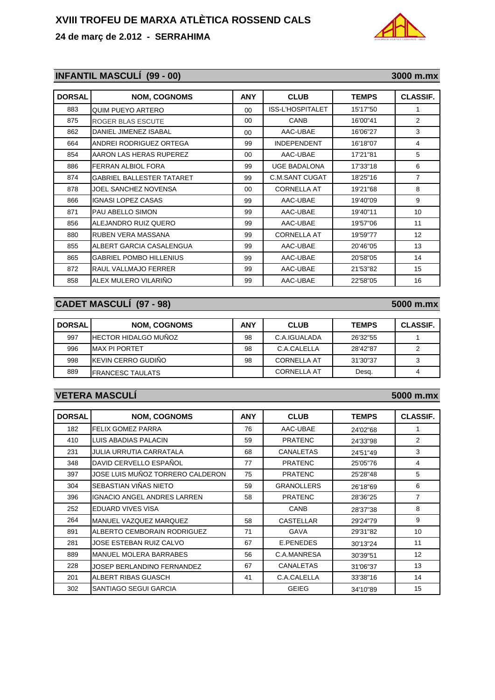## **24 de març de 2.012 - SERRAHIMA**

# **INFANTIL MASCULÍ (99 - 00)** 3000 m.mx

| <b>DORSAL</b> | <b>NOM, COGNOMS</b>              | <b>ANY</b> | <b>CLUB</b>         | TEMPS    | <b>CLASSIF.</b> |
|---------------|----------------------------------|------------|---------------------|----------|-----------------|
| 883           | QUIM PUEYO ARTERO                | $00\,$     | ISS-L'HOSPITALET    | 15'17"50 | 1               |
| 875           | <b>ROGER BLAS ESCUTE</b>         | 00         | CANB                | 16'00"41 | 2               |
| 862           | DANIEL JIMENEZ ISABAL            | 00         | AAC-UBAE            | 16'06"27 | 3               |
| 664           | ANDREI RODRIGUEZ ORTEGA          | 99         | <b>INDEPENDENT</b>  | 16'18"07 | 4               |
| 854           | AARON LAS HERAS RUPEREZ          | 00         | AAC-UBAE            | 17'21"81 | 5               |
| 886           | FERRAN ALBIOL FORA               | 99         | <b>UGE BADALONA</b> | 17'33"18 | 6               |
| 874           | <b>GABRIEL BALLESTER TATARET</b> | 99         | C.M.SANT CUGAT      | 18'25"16 | $\overline{7}$  |
| 878           | JOEL SANCHEZ NOVENSA             | 00         | <b>CORNELLA AT</b>  | 19'21"68 | 8               |
| 866           | <b>IGNASI LOPEZ CASAS</b>        | 99         | AAC-UBAE            | 19'40"09 | 9               |
| 871           | PAU ABELLO SIMON                 | 99         | AAC-UBAE            | 19'40"11 | 10              |
| 856           | ALEJANDRO RUIZ QUERO             | 99         | AAC-UBAE            | 19'57"06 | 11              |
| 880           | <b>RUBEN VERA MASSANA</b>        | 99         | <b>CORNELLA AT</b>  | 19'59"77 | 12              |
| 855           | ALBERT GARCIA CASALENGUA         | 99         | AAC-UBAE            | 20'46"05 | 13              |
| 865           | <b>GABRIEL POMBO HILLENIUS</b>   | 99         | AAC-UBAE            | 20'58"05 | 14              |
| 872           | RAUL VALLMAJO FERRER             | 99         | AAC-UBAE            | 21'53"82 | 15              |
| 858           | ALEX MULERO VILARIÑO             | 99         | AAC-UBAE            | 22'58"05 | 16              |

# **CADET MASCULÍ (97 - 98)** 5000 m.mx

| <b>DORSAL</b> | <b>NOM, COGNOMS</b>          | ANY | <b>CLUB</b>        | <b>TEMPS</b> | <b>CLASSIF.</b> |
|---------------|------------------------------|-----|--------------------|--------------|-----------------|
| 997           | <b>IHECTOR HIDALGO MUÑOZ</b> | 98  | C.A.IGUALADA       | 26'32"55     |                 |
| 996           | <b>MAX PI PORTET</b>         | 98  | C.A.CALELLA        | 28'42"87     |                 |
| 998           | IKEVIN CERRO GUDIÑO          | 98  | <b>CORNELLA AT</b> | 31'30"37     |                 |
| 889           | FRANCESC TAULATS             |     | <b>CORNELLA AT</b> | Desg.        |                 |

### **VETERA MASCULÍ 5000 m.mx**

| <b>DORSAL</b> | <b>NOM, COGNOMS</b>                | <b>ANY</b> | <b>CLUB</b>       | <b>TEMPS</b> | <b>CLASSIF.</b> |
|---------------|------------------------------------|------------|-------------------|--------------|-----------------|
| 182           | <b>FELIX GOMEZ PARRA</b>           | 76         | AAC-UBAE          | 24'02"68     | 1               |
| 410           | LUIS ABADIAS PALACIN               | 59         | <b>PRATENC</b>    | 24'33"98     | 2               |
| 231           | JULIA URRUTIA CARRATALA            | 68         | <b>CANALETAS</b>  | 24'51"49     | 3               |
| 348           | DAVID CERVELLO ESPAÑOL             | 77         | <b>PRATENC</b>    | 25'05"76     | 4               |
| 397           | JOSE LUIS MUÑOZ TORRERO CALDERON   | 75         | <b>PRATENC</b>    | 25'28"48     | 5               |
| 304           | SEBASTIAN VIÑAS NIETO              | 59         | <b>GRANOLLERS</b> | 26'18"69     | 6               |
| 396           | <b>IGNACIO ANGEL ANDRES LARREN</b> | 58         | <b>PRATENC</b>    | 28'36"25     | 7               |
| 252           | EDUARD VIVES VISA                  |            | CANB              | 28'37"38     | 8               |
| 264           | <b>MANUEL VAZQUEZ MARQUEZ</b>      | 58         | <b>CASTELLAR</b>  | 29'24"79     | 9               |
| 891           | ALBERTO CEMBORAIN RODRIGUEZ        | 71         | GAVA              | 29'31"82     | 10              |
| 281           | JOSE ESTEBAN RUIZ CALVO            | 67         | E.PENEDES         | 30'13"24     | 11              |
| 889           | <b>MANUEL MOLERA BARRABES</b>      | 56         | C.A.MANRESA       | 30'39"51     | 12              |
| 228           | JOSEP BERLANDINO FERNANDEZ         | 67         | CANALETAS         | 31'06"37     | 13              |
| 201           | ALBERT RIBAS GUASCH                | 41         | C.A.CALELLA       | 33'38"16     | 14              |
| 302           | SANTIAGO SEGUI GARCIA              |            | <b>GEIEG</b>      | 34'10"89     | 15              |

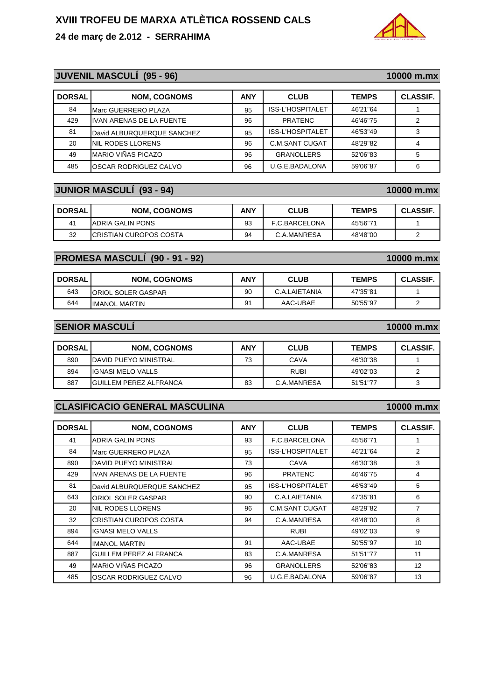#### **24 de març de 2.012 - SERRAHIMA**

### **JUVENIL MASCULÍ (95 - 96)** 10000 m.mx

| <b>DORSAL</b> | <b>NOM, COGNOMS</b>             | <b>ANY</b> | <b>CLUB</b>             | <b>TEMPS</b> | <b>CLASSIF.</b> |
|---------------|---------------------------------|------------|-------------------------|--------------|-----------------|
| 84            | Marc GUERRERO PLAZA             | 95         | ISS-L'HOSPITALET        | 46'21"64     |                 |
| 429           | <b>IVAN ARENAS DE LA FUENTE</b> | 96         | <b>PRATENC</b>          | 46'46"75     | 2               |
| 81            | David ALBURQUERQUE SANCHEZ      | 95         | <b>ISS-L'HOSPITALET</b> | 46'53"49     | 3               |
| 20            | NIL RODES LLORENS               | 96         | C.M.SANT CUGAT          | 48'29"82     |                 |
| 49            | MARIO VIÑAS PICAZO              | 96         | <b>GRANOLLERS</b>       | 52'06"83     | 5               |
| 485           | OSCAR RODRIGUEZ CALVO           | 96         | U.G.E.BADALONA          | 59'06"87     | 6               |

#### **JUNIOR MASCULÍ (93 - 94)** 10000 m.mx

| <b>DORSAL</b>  | <b>NOM. COGNOMS</b>     | <b>ANY</b> | <b>CLUB</b>   | <b>TEMPS</b> | <b>CLASSIF.</b> |
|----------------|-------------------------|------------|---------------|--------------|-----------------|
| 4 <sup>1</sup> | ADRIA GALIN PONS        | 93         | F.C.BARCELONA | 45'56"71     |                 |
| 32             | ICRISTIAN CUROPOS COSTA | 94         | C.A.MANRESA   | 48'48"00     |                 |

#### **PROMESA MASCULÍ (90 - 91 - 92)** 10000 m.mx

| <b>DORSAL</b> | <b>NOM, COGNOMS</b>   | <b>ANY</b> | <b>CLUB</b>   | <b>TEMPS</b> | <b>CLASSIF</b> |
|---------------|-----------------------|------------|---------------|--------------|----------------|
| 643           | ORIOL SOLER GASPAR    | 90         | C.A.LAIETANIA | 47'35"81     |                |
| 644           | <b>IIMANOL MARTIN</b> | 91         | AAC-UBAE      | 50'55"97     |                |

### **SENIOR MASCULÍ SENIOR MASCULÍ 10000 m mx 10000 m.mx**

| <b>DORSAL</b> | <b>NOM, COGNOMS</b>           | <b>ANY</b> | <b>CLUB</b> | <b>TEMPS</b> | <b>CLASSIF.</b> |
|---------------|-------------------------------|------------|-------------|--------------|-----------------|
| 890           | <b>IDAVID PUEYO MINISTRAL</b> | 73         | CAVA        | 46'30"38     |                 |
| 894           | IGNASI MELO VALLS             |            | RUBI        | 49'02"03     |                 |
| 887           | <b>GUILLEM PEREZ ALFRANCA</b> | 83         | C.A.MANRESA | 51'51"77     |                 |

#### **CLASIFICACIO GENERAL MASCULINA CLASIFICACIO GENERAL 10000 m mx 10000 m.mx**

| <b>DORSAL</b> | <b>NOM, COGNOMS</b>             | <b>ANY</b> | <b>CLUB</b>       | <b>TEMPS</b> | <b>CLASSIF.</b> |
|---------------|---------------------------------|------------|-------------------|--------------|-----------------|
| 41            | ADRIA GALIN PONS                | 93         | F.C.BARCELONA     | 45'56"71     |                 |
| 84            | Marc GUERRERO PLAZA             | 95         | ISS-L'HOSPITALET  | 46'21"64     | 2               |
| 890           | DAVID PUEYO MINISTRAL           | 73         | CAVA              | 46'30"38     | 3               |
| 429           | <b>IVAN ARENAS DE LA FUENTE</b> | 96         | <b>PRATENC</b>    | 46'46"75     | 4               |
| 81            | David ALBURQUERQUE SANCHEZ      | 95         | ISS-L'HOSPITALET  | 46'53"49     | 5               |
| 643           | ORIOL SOLER GASPAR              | 90         | C.A.LAIETANIA     | 47'35"81     | 6               |
| 20            | NIL RODES LLORENS               | 96         | C.M.SANT CUGAT    | 48'29"82     | 7               |
| 32            | CRISTIAN CUROPOS COSTA          | 94         | C.A.MANRESA       | 48'48"00     | 8               |
| 894           | <b>IGNASI MELO VALLS</b>        |            | <b>RUBI</b>       | 49'02"03     | 9               |
| 644           | <b>IMANOL MARTIN</b>            | 91         | AAC-UBAE          | 50'55"97     | 10              |
| 887           | <b>GUILLEM PEREZ ALFRANCA</b>   | 83         | C.A.MANRESA       | 51'51"77     | 11              |
| 49            | MARIO VIÑAS PICAZO              | 96         | <b>GRANOLLERS</b> | 52'06"83     | 12              |
| 485           | OSCAR RODRIGUEZ CALVO           | 96         | U.G.E.BADALONA    | 59'06"87     | 13              |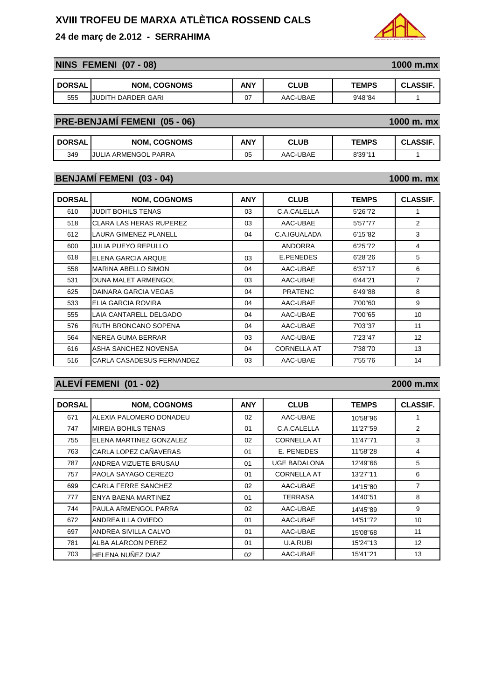### **24 de març de 2.012 - SERRAHIMA**

## **NINS FEMENI (07 - 08)** 1000 m.mx

| <b>DORSAL</b> | <b>NOM, COGNOMS</b> | ANY | <b>CLUB</b> | <b>TEMPS</b> | <b>CLASSIF</b> |
|---------------|---------------------|-----|-------------|--------------|----------------|
| 555           | JUDITH DARDER GARI  | 07  | AAC-UBAE    | 9'48"84      |                |

# **PRE-BENJAMÍ FEMENI (05 - 06)** 1000 m.mx

| <b>DORSAL</b> | <b>NOM, COGNOMS</b>       | <b>ANY</b> | <b>CLUB</b><br>יי | <b>TEMPS</b> | <b>_ASSIF</b><br>uL. |
|---------------|---------------------------|------------|-------------------|--------------|----------------------|
| 349           | JULIA<br>، ARMENGOL PARRA | 05         | AAC-UBAE          | 8'39"11      |                      |

### **BENJAMÍ FEMENI (03 - 04)** 1000 m. mx

| <b>DORSAL</b> | <b>NOM, COGNOMS</b>            | <b>ANY</b> | <b>CLUB</b>        | <b>TEMPS</b> | <b>CLASSIF.</b>   |
|---------------|--------------------------------|------------|--------------------|--------------|-------------------|
| 610           | <b>JUDIT BOHILS TENAS</b>      | 03         | C.A.CALELLA        | 5'26"72      |                   |
| 518           | <b>CLARA LAS HERAS RUPEREZ</b> | 03         | AAC-UBAE           | 5'57"77      | $\overline{2}$    |
| 612           | LAURA GIMENEZ PLANELL          | 04         | C.A.IGUALADA       | 6'15"82      | 3                 |
| 600           | JULIA PUEYO REPULLO            |            | ANDORRA            | 6'25"72      | 4                 |
| 618           | ELENA GARCIA ARQUE             | 03         | E.PENEDES          | 6'28"26      | 5                 |
| 558           | <b>MARINA ABELLO SIMON</b>     | 04         | AAC-UBAE           | 6'37"17      | 6                 |
| 531           | DUNA MALET ARMENGOL            | 03         | AAC-UBAE           | 6'44"21      | $\overline{7}$    |
| 625           | DAINARA GARCIA VEGAS           | 04         | <b>PRATENC</b>     | 6'49"88      | 8                 |
| 533           | ELIA GARCIA ROVIRA             | 04         | AAC-UBAE           | 7'00"60      | 9                 |
| 555           | LAIA CANTARELL DELGADO         | 04         | AAC-UBAE           | 7'00"65      | 10                |
| 576           | RUTH BRONCANO SOPENA           | 04         | AAC-UBAE           | 7'03"37      | 11                |
| 564           | NEREA GUMA BERRAR              | 03         | AAC-UBAE           | 7'23"47      | $12 \overline{ }$ |
| 616           | ASHA SANCHEZ NOVENSA           | 04         | <b>CORNELLA AT</b> | 7'38"70      | 13                |
| 516           | CARLA CASADESUS FERNANDEZ      | 03         | AAC-UBAE           | 7'55"76      | 14                |

# **ALEVÍ FEMENI (01 - 02) 2000 m.mx**

| <b>DORSAL</b> | <b>NOM, COGNOMS</b>     | <b>ANY</b> | <b>CLUB</b>         | <b>TEMPS</b> | <b>CLASSIF.</b>   |
|---------------|-------------------------|------------|---------------------|--------------|-------------------|
| 671           | ALEXIA PALOMERO DONADEU | 02         | AAC-UBAE            | 10'58"96     | 1                 |
| 747           | MIREIA BOHILS TENAS     | 01         | C.A.CALELLA         | 11'27"59     | 2                 |
| 755           | ELENA MARTINEZ GONZALEZ | 02         | <b>CORNELLA AT</b>  | 11'47"71     | 3                 |
| 763           | CARLA LOPEZ CAÑAVERAS   | 01         | E. PENEDES          | 11'58"28     | 4                 |
| 787           | ANDREA VIZUETE BRUSAU   | 01         | <b>UGE BADALONA</b> | 12'49"66     | 5                 |
| 757           | PAOLA SAYAGO CEREZO     | 01         | <b>CORNELLA AT</b>  | 13'27"11     | 6                 |
| 699           | CARLA FERRE SANCHEZ     | 02         | AAC-UBAE            | 14'15"80     | $\overline{7}$    |
| 777           | ENYA BAENA MARTINEZ     | 01         | <b>TERRASA</b>      | 14'40"51     | 8                 |
| 744           | PAULA ARMENGOL PARRA    | 02         | AAC-UBAE            | 14'45"89     | 9                 |
| 672           | ANDREA ILLA OVIEDO      | 01         | AAC-UBAE            | 14'51"72     | 10                |
| 697           | ANDREA SIVILLA CALVO    | 01         | AAC-UBAE            | 15'08"68     | 11                |
| 781           | ALBA ALARCON PEREZ      | 01         | U.A.RUBI            | 15'24"13     | $12 \overline{ }$ |
| 703           | HELENA NUÑEZ DIAZ       | 02         | AAC-UBAE            | 15'41"21     | 13                |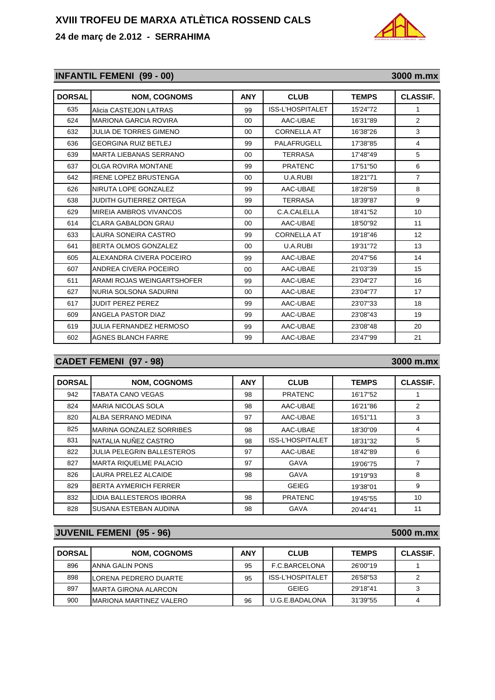### **24 de març de 2.012 - SERRAHIMA**

# **INFANTIL FEMENI** (99 - 00) 3000 m.mx

| <b>DORSAL</b> | <b>NOM, COGNOMS</b>            | <b>ANY</b> | <b>CLUB</b>             | <b>TEMPS</b> | <b>CLASSIF.</b> |
|---------------|--------------------------------|------------|-------------------------|--------------|-----------------|
| 635           | Alicia CASTEJON LATRAS         | 99         | <b>ISS-L'HOSPITALET</b> | 15'24"72     | 1               |
| 624           | <b>MARIONA GARCIA ROVIRA</b>   | $00 \,$    | AAC-UBAE                | 16'31"89     | 2               |
| 632           | <b>JULIA DE TORRES GIMENO</b>  | $00\,$     | <b>CORNELLA AT</b>      | 16'38"26     | 3               |
| 636           | <b>GEORGINA RUIZ BETLEJ</b>    | 99         | PALAFRUGELL             | 17'38"85     | 4               |
| 639           | <b>MARTA LIEBANAS SERRANO</b>  | $00\,$     | <b>TERRASA</b>          | 17'48"49     | 5               |
| 637           | OLGA ROVIRA MONTANE            | 99         | <b>PRATENC</b>          | 17'51"50     | 6               |
| 642           | <b>IRENE LOPEZ BRUSTENGA</b>   | 00         | U.A.RUBI                | 18'21"71     | $\overline{7}$  |
| 626           | NIRUTA LOPE GONZALEZ           | 99         | AAC-UBAE                | 18'28"59     | 8               |
| 638           | JUDITH GUTIERREZ ORTEGA        | 99         | <b>TERRASA</b>          | 18'39"87     | 9               |
| 629           | MIREIA AMBROS VIVANCOS         | $00 \,$    | C.A.CALELLA             | 18'41"52     | 10              |
| 614           | CLARA GABALDON GRAU            | $00 \,$    | AAC-UBAE                | 18'50"92     | 11              |
| 633           | LAURA SONEIRA CASTRO           | 99         | <b>CORNELLA AT</b>      | 19'18"46     | 12              |
| 641           | BERTA OLMOS GONZALEZ           | 00         | U.A.RUBI                | 19'31"72     | 13              |
| 605           | ALEXANDRA CIVERA POCEIRO       | 99         | AAC-UBAE                | 20'47"56     | 14              |
| 607           | ANDREA CIVERA POCEIRO          | $00\,$     | AAC-UBAE                | 21'03"39     | 15              |
| 611           | ARAMI ROJAS WEINGARTSHOFER     | 99         | AAC-UBAE                | 23'04"27     | 16              |
| 627           | NURIA SOLSONA SADURNI          | $00 \,$    | AAC-UBAE                | 23'04"77     | 17              |
| 617           | <b>JUDIT PEREZ PEREZ</b>       | 99         | AAC-UBAE                | 23'07"33     | 18              |
| 609           | ANGELA PASTOR DIAZ             | 99         | AAC-UBAE                | 23'08"43     | 19              |
| 619           | <b>JULIA FERNANDEZ HERMOSO</b> | 99         | AAC-UBAE                | 23'08"48     | 20              |
| 602           | <b>AGNES BLANCH FARRE</b>      | 99         | AAC-UBAE                | 23'47"99     | 21              |

# **CADET FEMENI (97 - 98)** 3000 m.mx

| <b>DORSAL</b> | <b>NOM, COGNOMS</b>               | <b>ANY</b> | <b>CLUB</b>             | <b>TEMPS</b> | <b>CLASSIF.</b> |
|---------------|-----------------------------------|------------|-------------------------|--------------|-----------------|
| 942           | <b>TABATA CANO VEGAS</b>          | 98         | <b>PRATENC</b>          | 16'17"52     |                 |
| 824           | <b>MARIA NICOLAS SOLA</b>         | 98         | AAC-UBAE                | 16'21"86     | 2               |
| 820           | ALBA SERRANO MEDINA               | 97         | AAC-UBAE                | 16'51"11     | 3               |
| 825           | MARINA GONZALEZ SORRIBES          | 98         | AAC-UBAE                | 18'30"09     | 4               |
| 831           | NATALIA NUÑEZ CASTRO              | 98         | <b>ISS-L'HOSPITALET</b> | 18'31"32     | 5               |
| 822           | <b>JULIA PELEGRIN BALLESTEROS</b> | 97         | AAC-UBAE                | 18'42"89     | 6               |
| 827           | <b>MARTA RIQUELME PALACIO</b>     | 97         | GAVA                    | 19'06"75     | 7               |
| 826           | <b>LAURA PRELEZ ALCAIDE</b>       | 98         | <b>GAVA</b>             | 19'19"93     | 8               |
| 829           | <b>BERTA AYMERICH FERRER</b>      |            | <b>GEIEG</b>            | 19'38"01     | 9               |
| 832           | LIDIA BALLESTEROS IBORRA          | 98         | <b>PRATENC</b>          | 19'45"55     | 10              |
| 828           | SUSANA ESTEBAN AUDINA             | 98         | GAVA                    | 20'44"41     | 11              |

### **JUVENIL FEMENI** (95 - 96) 5000 m.mx

| <b>DORSAL</b> | <b>NOM. COGNOMS</b>             | ANY | <b>CLUB</b>             | <b>TEMPS</b> | <b>CLASSIF.</b> |
|---------------|---------------------------------|-----|-------------------------|--------------|-----------------|
| 896           | ANNA GALIN PONS                 | 95  | F.C.BARCELONA           | 26'00"19     |                 |
| 898           | LORENA PEDRERO DUARTE           | 95  | <b>ISS-L'HOSPITALET</b> | 26'58"53     |                 |
| 897           | <b>MARTA GIRONA ALARCON</b>     |     | <b>GFIFG</b>            | 29'18"41     |                 |
| 900           | <b>IMARIONA MARTINEZ VALERO</b> | 96  | U.G.E.BADALONA          | 31'39"55     |                 |

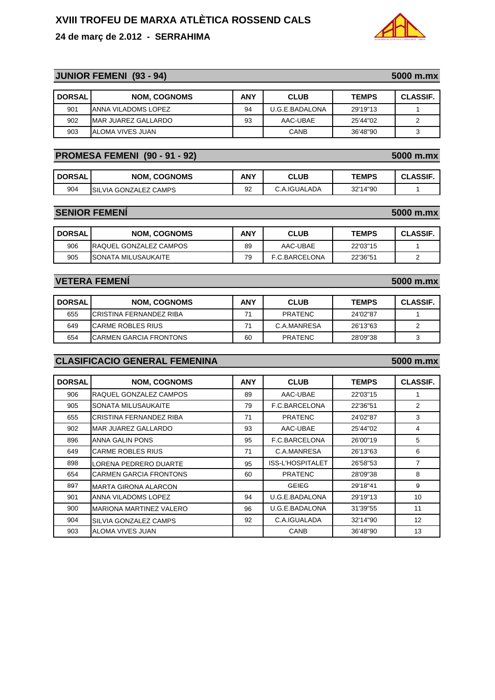# **24 de març de 2.012 - SERRAHIMA**

## **JUNIOR FEMENI (93 - 94)** 5000 m.mx

| <b>DORSAL</b> | <b>NOM. COGNOMS</b>  | <b>ANY</b> | <b>CLUB</b>    | <b>TEMPS</b> | <b>CLASSIF.</b> |
|---------------|----------------------|------------|----------------|--------------|-----------------|
| 901           | ANNA VILADOMS LOPEZ  | 94         | U.G.E.BADALONA | 29'19"13     |                 |
| 902           | IMAR JUAREZ GALLARDO | 93         | AAC-UBAE       | 25'44"02     |                 |
| 903           | ALOMA VIVES JUAN     |            | <b>CANB</b>    | 36'48"90     |                 |

### **PROMESA FEMENI (90 - 91 - 92)** 5000 m.mx

| <b>DORSAL</b> | <b>NOM, COGNOMS</b>           | ANY | <b>CLUB</b>  | <b>TEMPS</b> | <b>CLASSIF</b> |
|---------------|-------------------------------|-----|--------------|--------------|----------------|
| 904           | <b>ISILVIA GONZALEZ CAMPS</b> | 92  | C.A.IGUALADA | 32'14"90     |                |

#### **SENIOR FEMENÍ** 5000 m.mx

| <b>DORSAL</b> | <b>NOM. COGNOMS</b>            | <b>ANY</b> | <b>CLUB</b>   | <b>TEMPS</b> | <b>CLASSIF</b> |
|---------------|--------------------------------|------------|---------------|--------------|----------------|
| 906           | <b>IRAQUEL GONZALEZ CAMPOS</b> | 89         | AAC-UBAE      | 22'03"15     |                |
| 905           | <b>ISONATA MILUSAUKAITE</b>    | 79         | F.C.BARCELONA | 22'36"51     |                |

### **VETERA FEMENÍ 5000 m.mx**

| <b>DORSAL</b> | <b>NOM. COGNOMS</b>      | ANY | <b>CLUB</b>    | <b>TEMPS</b> | <b>CLASSIF.</b> |
|---------------|--------------------------|-----|----------------|--------------|-----------------|
| 655           | ICRISTINA FERNANDEZ RIBA | 71  | <b>PRATENC</b> | 24'02"87     |                 |
| 649           | ICARME ROBLES RIUS       | 71  | C.A.MANRESA    | 26'13"63     |                 |
| 654           | ICARMEN GARCIA FRONTONS  | 60  | <b>PRATENC</b> | 28'09"38     |                 |

### **CLASIFICACIO GENERAL FEMENINA 5000 m.mx**

| <b>DORSAL</b> | <b>NOM, COGNOMS</b>            | <b>ANY</b> | <b>CLUB</b>      | <b>TEMPS</b> | <b>CLASSIF.</b> |
|---------------|--------------------------------|------------|------------------|--------------|-----------------|
| 906           | RAQUEL GONZALEZ CAMPOS         | 89         | AAC-UBAE         | 22'03"15     | 1               |
| 905           | SONATA MILUSAUKAITE            | 79         | F.C.BARCELONA    | 22'36"51     | 2               |
| 655           | CRISTINA FERNANDEZ RIBA        | 71         | <b>PRATENC</b>   | 24'02"87     | 3               |
| 902           | MAR JUAREZ GALLARDO            | 93         | AAC-UBAE         | 25'44"02     | 4               |
| 896           | ANNA GALIN PONS                | 95         | F.C.BARCELONA    | 26'00"19     | 5               |
| 649           | <b>CARME ROBLES RIUS</b>       | 71         | C.A.MANRESA      | 26'13"63     | 6               |
| 898           | LORENA PEDRERO DUARTE          | 95         | ISS-L'HOSPITALET | 26'58"53     | $\overline{7}$  |
| 654           | <b>CARMEN GARCIA FRONTONS</b>  | 60         | <b>PRATENC</b>   | 28'09"38     | 8               |
| 897           | <b>MARTA GIRONA ALARCON</b>    |            | <b>GEIEG</b>     | 29'18"41     | 9               |
| 901           | ANNA VILADOMS LOPEZ            | 94         | U.G.E.BADALONA   | 29'19"13     | 10              |
| 900           | <b>MARIONA MARTINEZ VALERO</b> | 96         | U.G.E.BADALONA   | 31'39"55     | 11              |
| 904           | SILVIA GONZALEZ CAMPS          | 92         | C.A.IGUALADA     | 32'14"90     | 12              |
| 903           | ALOMA VIVES JUAN               |            | <b>CANB</b>      | 36'48"90     | 13              |

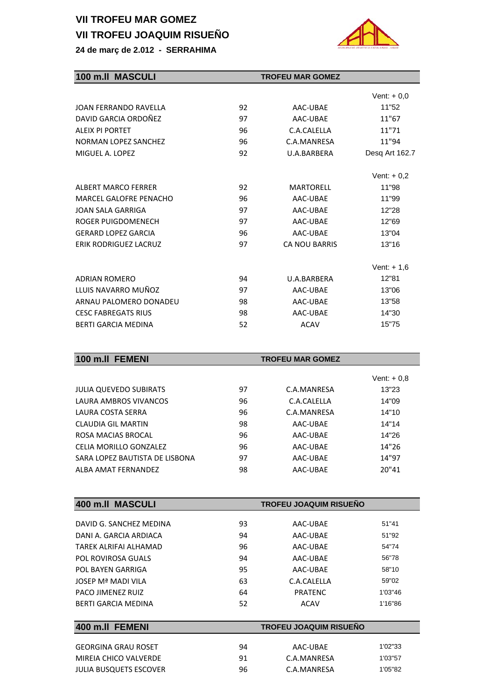# **VII TROFEU MAR GOMEZ VII TROFEU JOAQUIM RISUEÑO**





| 100 m.II MASCULI             |    | <b>TROFEU MAR GOMEZ</b> |                |  |  |  |  |  |  |
|------------------------------|----|-------------------------|----------------|--|--|--|--|--|--|
|                              |    |                         | Vent: $+0,0$   |  |  |  |  |  |  |
| <b>JOAN FERRANDO RAVELLA</b> | 92 | AAC-UBAE                | 11"52          |  |  |  |  |  |  |
| DAVID GARCIA ORDOÑEZ         | 97 | AAC-UBAE                | 11"67          |  |  |  |  |  |  |
| <b>ALEIX PI PORTET</b>       | 96 | C.A.CALELLA             | 11"71          |  |  |  |  |  |  |
| <b>NORMAN LOPEZ SANCHEZ</b>  | 96 | C.A.MANRESA             | 11"94          |  |  |  |  |  |  |
| MIGUEL A. LOPEZ              | 92 | U.A.BARBERA             | Desq Art 162.7 |  |  |  |  |  |  |
|                              |    |                         | Vent: $+0.2$   |  |  |  |  |  |  |
| <b>ALBERT MARCO FERRER</b>   | 92 | <b>MARTORELL</b>        | 11"98          |  |  |  |  |  |  |
| MARCEL GALOFRE PENACHO       | 96 | AAC-UBAE                | 11"99          |  |  |  |  |  |  |
| JOAN SALA GARRIGA            | 97 | AAC-UBAE                | 12"28          |  |  |  |  |  |  |
| ROGER PUIGDOMENECH           | 97 | AAC-UBAE                | 12"69          |  |  |  |  |  |  |
| <b>GERARD LOPEZ GARCIA</b>   | 96 | AAC-UBAE                | 13"04          |  |  |  |  |  |  |
| <b>ERIK RODRIGUEZ LACRUZ</b> | 97 | <b>CA NOU BARRIS</b>    | 13"16          |  |  |  |  |  |  |
|                              |    |                         | Vent: $+ 1.6$  |  |  |  |  |  |  |
| <b>ADRIAN ROMERO</b>         | 94 | U.A.BARBERA             | 12"81          |  |  |  |  |  |  |
| LLUIS NAVARRO MUÑOZ          | 97 | AAC-UBAE                | 13"06          |  |  |  |  |  |  |
| ARNAU PALOMERO DONADEU       | 98 | AAC-UBAE                | 13"58          |  |  |  |  |  |  |
| <b>CESC FABREGATS RIUS</b>   | 98 | AAC-UBAE                | 14"30          |  |  |  |  |  |  |
| <b>BERTI GARCIA MEDINA</b>   | 52 | <b>ACAV</b>             | 15"75          |  |  |  |  |  |  |
|                              |    |                         |                |  |  |  |  |  |  |

| 100 m.II FEMENI                | <b>TROFEU MAR GOMEZ</b> |             |              |
|--------------------------------|-------------------------|-------------|--------------|
|                                |                         |             | Vent: $+0.8$ |
| <b>JULIA QUEVEDO SUBIRATS</b>  | 97                      | C.A.MANRESA | 13"23        |
| LAURA AMBROS VIVANCOS          | 96                      | C.A.CALELLA | 14"09        |
| LAURA COSTA SERRA              | 96                      | C.A.MANRESA | 14"10        |
| CLAUDIA GIL MARTIN             | 98                      | AAC-UBAE    | 14"14        |
| ROSA MACIAS BROCAL             | 96                      | AAC-UBAE    | 14"26        |
| CELIA MORILLO GONZALEZ         | 96                      | AAC-UBAE    | 14"26        |
| SARA LOPEZ BAUTISTA DE LISBONA | 97                      | AAC-UBAE    | 14"97        |
| ALBA AMAT FFRNANDFZ            | 98                      | AAC-UBAE    | 20"41        |

| 400 m.II MASCULI           |    | <b>TROFEU JOAQUIM RISUEÑO</b> |         |  |  |
|----------------------------|----|-------------------------------|---------|--|--|
|                            |    |                               |         |  |  |
| DAVID G. SANCHEZ MEDINA    | 93 | AAC-UBAE                      | 51"41   |  |  |
| DANI A. GARCIA ARDIACA     | 94 | AAC-UBAE                      | 51"92   |  |  |
| TARFK ALRIFAI ALHAMAD      | 96 | AAC-UBAE                      | 54"74   |  |  |
| POL ROVIROSA GUALS         | 94 | AAC-UBAE                      | 56"78   |  |  |
| POL BAYEN GARRIGA          | 95 | AAC-UBAE                      | 58"10   |  |  |
| JOSEP Mª MADI VILA         | 63 | C.A.CALELLA                   | 59"02   |  |  |
| <b>PACO JIMENEZ RUIZ</b>   | 64 | <b>PRATENC</b>                | 1'03"46 |  |  |
| BERTI GARCIA MEDINA        | 52 | <b>ACAV</b>                   | 1'16"86 |  |  |
|                            |    |                               |         |  |  |
| 400 m.II FEMENI            |    | <b>TROFEU JOAQUIM RISUEÑO</b> |         |  |  |
|                            |    |                               |         |  |  |
| <b>GEORGINA GRAU ROSET</b> | 94 | AAC-UBAE                      | 1'02"33 |  |  |
| MIREIA CHICO VALVERDE      | 91 | C.A.MANRESA                   | 1'03"57 |  |  |
| JULIA BUSQUETS ESCOVER     | 96 | C.A.MANRESA                   | 1'05"82 |  |  |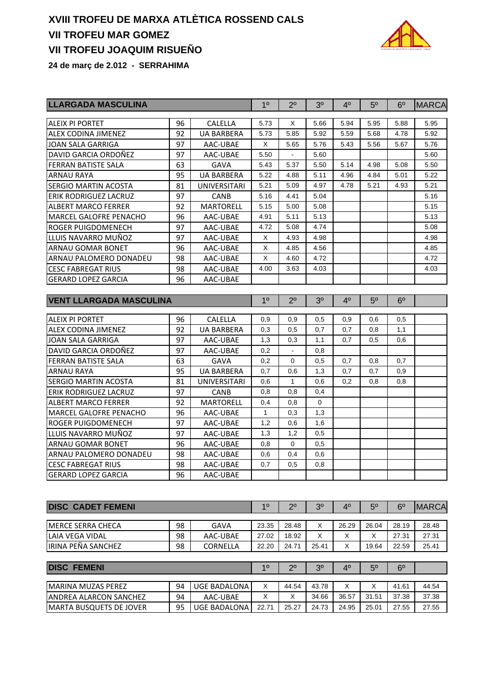# **XVIII TROFEU DE MARXA ATLÈTICA ROSSEND CALS VII TROFEU MAR GOMEZ VII TROFEU JOAQUIM RISUEÑO**



**24 de març de 2.012 - SERRAHIMA**

| LLARGADA MASCULINA             | 1 <sup>0</sup>       | $2^{\circ}$         | 3 <sup>o</sup> | 4 <sup>0</sup> | 5 <sup>0</sup> | 6 <sup>0</sup> | <b>MARCA</b>   |                |              |
|--------------------------------|----------------------|---------------------|----------------|----------------|----------------|----------------|----------------|----------------|--------------|
| ALEIX PI PORTET                | 96                   | CALELLA             | 5.73           | X              | 5.66           | 5.94           | 5.95           | 5.88           | 5.95         |
| ALEX CODINA JIMENEZ            | 92                   | <b>UA BARBERA</b>   | 5.73           | 5.85           | 5.92           | 5.59           | 5.68           | 4.78           | 5.92         |
| <b>JOAN SALA GARRIGA</b>       | 97                   | AAC-UBAE            | X              | 5.65           | 5.76           | 5.43           | 5.56           | 5.67           | 5.76         |
| DAVID GARCIA ORDOÑEZ           | 97                   | AAC-UBAE            | 5.50           |                | 5.60           |                |                |                | 5.60         |
| FERRAN BATISTE SALA            | 63                   | <b>GAVA</b>         | 5.43           | 5.37           | 5.50           | 5.14           | 4.98           | 5.08           | 5.50         |
| <b>ARNAU RAYA</b>              | 95                   | <b>UA BARBERA</b>   | 5.22           | 4.88           | 5.11           | 4.96           | 4.84           | 5.01           | 5.22         |
| <b>SERGIO MARTIN ACOSTA</b>    | 81                   | <b>UNIVERSITARI</b> | 5.21           | 5.09           | 4.97           | 4.78           | 5.21           | 4.93           | 5.21         |
| <b>ERIK RODRIGUEZ LACRUZ</b>   | 97                   | <b>CANB</b>         | 5.16           | 4.41           | 5.04           |                |                |                | 5.16         |
| <b>ALBERT MARCO FERRER</b>     | 92                   | <b>MARTORELL</b>    | 5.15           | 5.00           | 5.08           |                |                |                | 5.15         |
| <b>MARCEL GALOFRE PENACHO</b>  | 96                   | AAC-UBAE            | 4.91           | 5.11           | 5.13           |                |                |                | 5.13         |
| ROGER PUIGDOMENECH             | 97                   | AAC-UBAE            | 4.72           | 5.08           | 4.74           |                |                |                | 5.08         |
| LLUIS NAVARRO MUÑOZ            | 97                   | AAC-UBAE            | X              | 4.93           | 4.98           |                |                |                | 4.98         |
| <b>ARNAU GOMAR BONET</b>       | 96                   | AAC-UBAE            | Χ              | 4.85           | 4.56           |                |                |                | 4.85         |
| ARNAU PALOMERO DONADEU         | 98                   | AAC-UBAE            | X              | 4.60           | 4.72           |                |                |                | 4.72         |
| <b>CESC FABREGAT RIUS</b>      | 98                   | AAC-UBAE            | 4.00           | 3.63           | 4.03           |                |                |                | 4.03         |
| <b>GERARD LOPEZ GARCIA</b>     | 96                   | AAC-UBAE            |                |                |                |                |                |                |              |
| <b>VENT LLARGADA MASCULINA</b> |                      |                     | 1 <sup>0</sup> | $2^{\circ}$    | 3 <sup>0</sup> | 4 <sup>0</sup> | 5 <sup>0</sup> | 6 <sup>o</sup> |              |
|                                |                      |                     |                |                |                |                |                |                |              |
| <b>ALEIX PI PORTET</b>         | 96<br><b>CALELLA</b> |                     |                |                |                | 0,9            | 0,6            | 0,5            |              |
| ALEX CODINA JIMENEZ            | 92                   | <b>UA BARBERA</b>   | 0,3            | 0,5            | 0,7            | 0,7            | 0,8            | 1,1            |              |
| <b>JOAN SALA GARRIGA</b>       | 97                   | AAC-UBAE            | 1,3            | 0,3            | 1,1            | 0.7            | 0,5            | 0,6            |              |
| DAVID GARCIA ORDOÑEZ           | 97                   | AAC-UBAE            | 0,2            |                | 0,8            |                |                |                |              |
| <b>FERRAN BATISTE SALA</b>     | 63                   | <b>GAVA</b>         | 0,2            | 0              | 0,5            | 0,7            | 0,8            | 0,7            |              |
| <b>ARNAU RAYA</b>              | 95                   | <b>UA BARBERA</b>   | 0,7            | 0,6            | 1,3            | 0,7            | 0,7            | 0,9            |              |
| SERGIO MARTIN ACOSTA           | 81                   | UNIVERSITARI        | 0,6            | 1              | 0,6            | 0,2            | 0,8            | 0,8            |              |
| ERIK RODRIGUEZ LACRUZ          | 97                   | <b>CANB</b>         | 0,8            | 0,8            | 0,4            |                |                |                |              |
| <b>ALBERT MARCO FERRER</b>     | 92                   | <b>MARTORELL</b>    | 0,4            | 0,8            | 0              |                |                |                |              |
| <b>MARCEL GALOFRE PENACHO</b>  | 96                   | AAC-UBAE            | $\mathbf{1}$   | 0,3            | 1,3            |                |                |                |              |
| ROGER PUIGDOMENECH             | 97                   | AAC-UBAE            | 1,2            | 0,6            | 1,6            |                |                |                |              |
| LLUIS NAVARRO MUÑOZ            | 97                   | AAC-UBAE            | 1,3            | 1,2            | 0,5            |                |                |                |              |
| <b>ARNAU GOMAR BONET</b>       | 96                   | AAC-UBAE            | 0,8            | 0              | 0,5            |                |                |                |              |
| ARNAU PALOMERO DONADEU         | 98                   | AAC-UBAE            | 0,6            | 0,4            | 0,6            |                |                |                |              |
| <b>CESC FABREGAT RIUS</b>      | 98                   | AAC-UBAE            | 0,7            | 0,5            | 0,8            |                |                |                |              |
| <b>GERARD LOPEZ GARCIA</b>     | 96                   | AAC-UBAE            |                |                |                |                |                |                |              |
|                                |                      |                     |                |                |                |                |                |                |              |
| <b>DISC CADET FEMENI</b>       |                      |                     | 1 <sup>0</sup> | $2^{\circ}$    | 3 <sup>o</sup> | 4 <sup>0</sup> | 5 <sup>o</sup> | 6 <sup>o</sup> | <b>MARCA</b> |
| <b>MERCE SERRA CHECA</b>       | 98                   | <b>GAVA</b>         | 23.35          | 28.48          | Х              | 26.29          | 26.04          | 28.19          | 28.48        |
| <b>LAIA VEGA VIDAL</b>         | 98                   | AAC-UBAE            | 27.02          | 18.92          | X              | х              | X              | 27.31          | 27.31        |
| IRINA PEÑA SANCHEZ             | 98<br>CORNELLA       |                     | 22.20          | 24.71          | 25.41          | х              | 19.64          | 22.59          | 25.41        |
|                                |                      |                     |                |                |                |                |                |                |              |
| <b>DISC FEMENI</b>             |                      |                     | 1 <sup>0</sup> | $2^{\circ}$    | 3 <sup>0</sup> | 4 <sup>0</sup> | 5 <sup>o</sup> | $6^{\circ}$    |              |
| <b>MARINA MUZAS PEREZ</b>      | 94                   | <b>UGE BADALONA</b> | X              | 44.54          | 43.78          | X              | X              | 41.61          | 44.54        |
| ANDREA ALARCON SANCHEZ         | 94                   | AAC-UBAE            | X              | X              | 34.66          | 36.57          | 31.51          | 37.38          | 37.38        |
| <b>MARTA BUSQUETS DE JOVER</b> | 95                   | <b>UGE BADALONA</b> | 22.71          | 25.27          | 24.73          | 24.95          | 25.01          | 27.55          | 27.55        |
|                                |                      |                     |                |                |                |                |                |                |              |